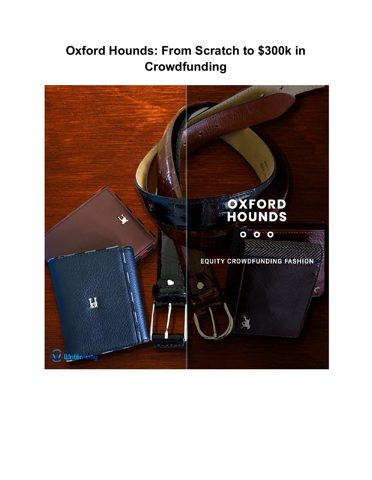# **Oxford Hounds: From Scratch to \$300k in Crowdfunding**

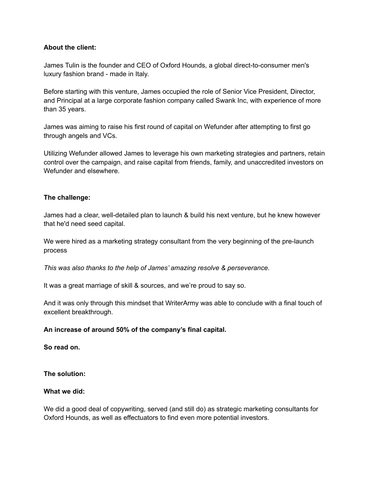# **About the client:**

James Tulin is the founder and CEO of Oxford Hounds, a global direct-to-consumer men's luxury fashion brand - made in Italy.

Before starting with this venture, James occupied the role of Senior Vice President, Director, and Principal at a large corporate fashion company called Swank Inc, with experience of more than 35 years.

James was aiming to raise his first round of capital on Wefunder after attempting to first go through angels and VCs.

Utilizing Wefunder allowed James to leverage his own marketing strategies and partners, retain control over the campaign, and raise capital from friends, family, and unaccredited investors on Wefunder and elsewhere.

# **The challenge:**

James had a clear, well-detailed plan to launch & build his next venture, but he knew however that he'd need seed capital.

We were hired as a marketing strategy consultant from the very beginning of the pre-launch process

*This was also thanks to the help of James' amazing resolve & perseverance.*

It was a great marriage of skill & sources, and we're proud to say so.

And it was only through this mindset that WriterArmy was able to conclude with a final touch of excellent breakthrough.

# **An increase of around 50% of the company's final capital.**

**So read on.**

**The solution:**

# **What we did:**

We did a good deal of copywriting, served (and still do) as strategic marketing consultants for Oxford Hounds, as well as effectuators to find even more potential investors.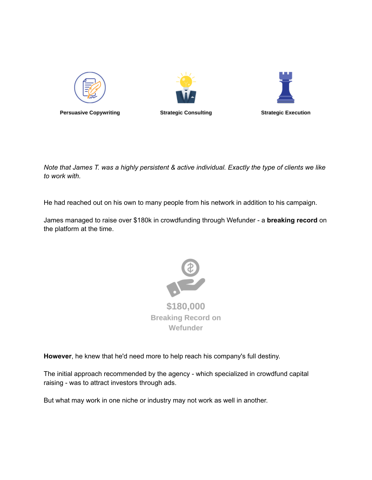

Note that James T. was a highly persistent & active individual. Exactly the type of clients we like *to work with.*

He had reached out on his own to many people from his network in addition to his campaign.

James managed to raise over \$180k in crowdfunding through Wefunder - a **breaking record** on the platform at the time.



**However**, he knew that he'd need more to help reach his company's full destiny.

The initial approach recommended by the agency - which specialized in crowdfund capital raising - was to attract investors through ads.

But what may work in one niche or industry may not work as well in another.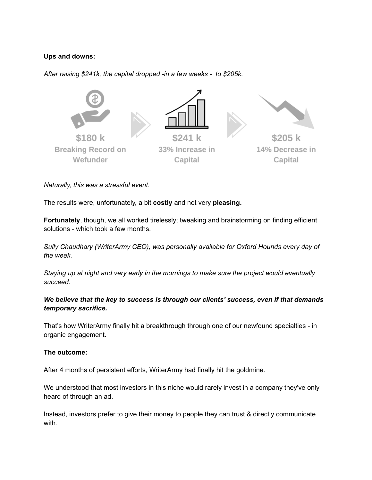# **Ups and downs:**

*After raising \$241k, the capital dropped -in a few weeks - to \$205k.*



*Naturally, this was a stressful event.*

The results were, unfortunately, a bit **costly** and not very **pleasing.**

**Fortunately**, though, we all worked tirelessly; tweaking and brainstorming on finding efficient solutions - which took a few months.

*Sully Chaudhary (WriterArmy CEO), was personally available for Oxford Hounds every day of the week.*

*Staying up at night and very early in the mornings to make sure the project would eventually succeed.*

# *We believe that the key to success is through our clients' success, even if that demands temporary sacrifice.*

That's how WriterArmy finally hit a breakthrough through one of our newfound specialties - in organic engagement.

# **The outcome:**

After 4 months of persistent efforts, WriterArmy had finally hit the goldmine.

We understood that most investors in this niche would rarely invest in a company they've only heard of through an ad.

Instead, investors prefer to give their money to people they can trust & directly communicate with.